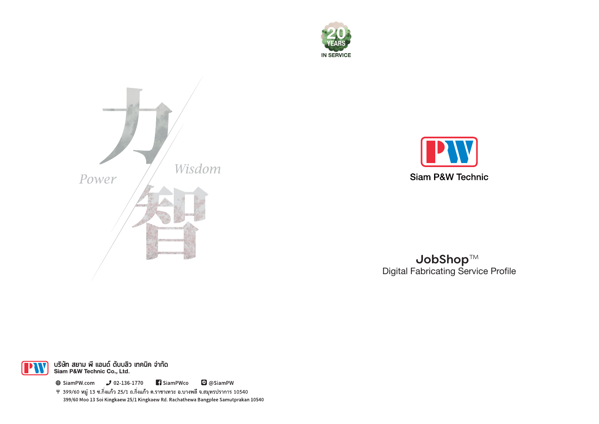





JobShop™ **Digital Fabricating Service Profile** 



บริษัท สยาม พี แอนด์ ดับบลิว เทคนิค จำกัด<br>Siam P&W Technic Co., Ltd.

 $\bigoplus$  SiamPW.com  $\bigcup$  02-136-1770 **1** SiamPWco **O** @SiamPW

ิ ∓ 399/60 หมู่ 13 ซ.กิ่งแก้ว 25/1 ถ.กิ่งแก้ว ต.ราชาเทวะ อ.บางพลี จ.สมุทรปราการ 10540 399/60 Moo 13 Soi Kingkaew 25/1 Kingkaew Rd. Rachathewa Bangplee Samutprakan 10540